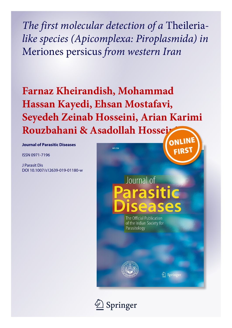*The first molecular detection of a* Theileria*like species (Apicomplexa: Piroplasmida) in* Meriones persicus *from western Iran*

# **Farnaz Kheirandish, Mohammad Hassan Kayedi, Ehsan Mostafavi, Seyedeh Zeinab Hosseini, Arian Karimi** Rouzbahani & Asadollah Hossei

**Journal of Parasitic Diseases Chegeni**

ISSN 0971-7196

J Parasit Dis DOI 10.1007/s12639-019-01180-w

## **FIRS** Journal of arasitic E The Official Publication of the Indian Society for

Parasitology



2 Springe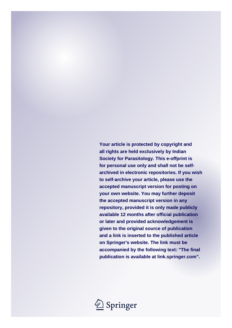**Your article is protected by copyright and all rights are held exclusively by Indian Society for Parasitology. This e-offprint is for personal use only and shall not be selfarchived in electronic repositories. If you wish to self-archive your article, please use the accepted manuscript version for posting on your own website. You may further deposit the accepted manuscript version in any repository, provided it is only made publicly available 12 months after official publication or later and provided acknowledgement is given to the original source of publication and a link is inserted to the published article on Springer's website. The link must be accompanied by the following text: "The final publication is available at link.springer.com".**

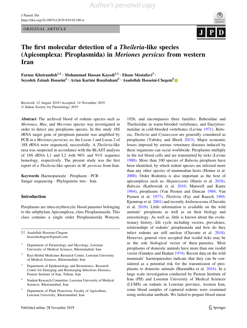ORIGINAL ARTICLE



### The first molecular detection of a Theileria-like species (Apicomplexa: Piroplasmida) in Meriones persicus from western Iran

Farnaz Kheirandish<sup>1,2</sup> · Mohammad Hassan Kayedi<sup>1,2</sup> · Ehsan Mostafavi<sup>3</sup> · Seyedeh Zeinab Hosseini<sup>2</sup> · Arian Karimi Rouzbahani<sup>4</sup> · Asadollah Hosseini-Chegeni<sup>5</sup>

Received: 12 August 2019 / Accepted: 14 November 2019 - Indian Society for Parasitology 2019

Abstract The archived blood of rodents species such as Meriones, Mus, and Microtus species was investigated in order to detect any piroplasms species. In this study 18S rRNA target gene of piroplasm parasite was amplified by PCR in a Meriones persicus; so, the Locus 1 and Locus 2 of 18S rRNA were sequenced, successfully. A Theileria-like taxa was suspected in accordance with the BLAST analysis of 18S rRNA L1 and L2 with 96% and 91% sequence homology, respectively. The present study was the first report of a Theileria-like species in M. persicus from Iran.

Keywords Haemoparasite - Piroplasm - PCR - Sanger sequencing - Phylogenetic tree - Iran

#### Introduction

Piroplasms are intra-erythrocytic blood parasites belonging to the subphylum Apicomplexa, class Piroplasmasida. This class contains a single order Piroplasmorida Wenyon,

& Asadollah Hosseini-Chegeni hosseinichegeni@gmail.com

- <sup>1</sup> Department of Parasitology and Mycology, Lorestan University of Medical Sciences, Khorramabad, Iran
- <sup>2</sup> Razi Herbal Medicines Research Center, Lorestan University of Medical Sciences, Khorramabad, Iran
- <sup>3</sup> Department of Epidemiology and Biostatistics, Research Center for Emerging and Reemerging Infectious Diseases, Pasteur Institute of Iran, Tehran, Iran
- Student Research Committee, Lorestan University of Medical Sciences, Khorramabad, Iran
- <sup>5</sup> Department of Plant Protection, Faculty of Agriculture, Lorestan University, Khorramabad, Iran

1926, and encompasses three families: Babesiidae and Theileriidae in warm-blooded vertebrates, and Dactylosomatidae in cold-blooded vertebrates (Levine [1971](#page-7-0)). Babesia, Theileria and Cytauxzoon are generally considered as piroplasms (Yabsley and Shock [2013](#page-7-0)). Major economic losses imposed by serious veterinary diseases induced by these organisms can occur worldwide. Piroplasms multiply in the red blood cells and are transmitted by ticks (Levine [1988](#page-7-0)). More than 100 species of Babesia piroplasm have been identified, by which rodent species are infected more than any other species of mammalian hosts (Homer et al. [2000](#page-7-0)). Order Rodentia is also important as the host of apicomplexa such as; Hepatozoons (Harris et al. [2018](#page-7-0)), Babesia (Karbowiak et al. [2010](#page-7-0); Manwell and Kuntz [1964](#page-7-0)), piroplasms (Van Peenen and Duncan [1968;](#page-7-0) Van Peenen et al. [1977\)](#page-7-0), *Theileria* (Fay and Rausch [1969](#page-7-0); Kjemtrup et al. [2001\)](#page-7-0) and recently Anthemosoma (Chavatte et al. [2018\)](#page-7-0). Little information is available on the wild animals' piroplasms as well as on their biology and enzootiology. As well as, little is known about the evolutionary history, life cycle including vectors, prevalence, relationships of rodents' piroplasmida and how do they infect rodents are still unclear (Chavatte et al. [2018](#page-7-0)). However, general view accepted that ixodid ticks may be as the sole biological vector of these parasites. Most piroplasms of domestic animals have more than one ixodid vector (Gunders and Hadani [1974](#page-7-0)). Recent data on the wild mammals' haemoparasites indicate that they can be considered as a potential risk for the transmission of piroplasms to domestic animals (Barandika et al. [2016\)](#page-7-0). In a large scale investigation conducted by Pasteur Institute of Iran (PII) and Lorestan University of Medical Sciences (LUMS) on rodents in Lorestan province, western Iran, some blood samples of captured rodents were examined using molecular methods. We failed to prepare blood smear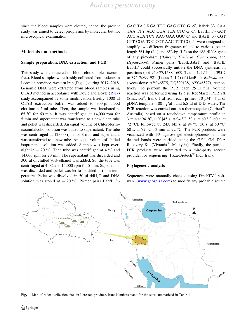<span id="page-3-0"></span>since the blood samples were clotted; hence, the present study was aimed to detect piroplasms by molecular but not microscopical examination.

#### Materials and methods

#### Sample preparation, DNA extraction, and PCR

This study was conducted on blood clot samples (serumfree). Blood samples were freshly collected from rodents in Lorestan province, western Iran (Fig. 1) during 2017–2018. Genomic DNA were extracted from blood samples using CTAB method in accordance with Doyle and Doyle ([1987\)](#page-7-0) study accompanied by some modification. Briefly, 1000 µl CTAB extraction buffer was added to 300 µl blood clot into a 2 ml tube. Then, the sample was incubated at 65 °C for 60 min. It was centrifuged at 14,000 rpm for 5 min and supernatant was transferred to a new clean tube and pellet was discarded. An equal volume of Chloroform– isoamilalcohol solution was added to supernatant. The tube was centrifuged at 12,000 rpm for 8 min and supernatant was transferred to a new tube. An equal volume of chilled isopropanol solution was added. Sample was kept overnight in  $-$  20 °C. Then tube was centrifuged at 4 °C and 14,000 rpm for 20 min. The supernatant was discarded and 300 µl of chilled 70% ethanol was added. So, the tube was centrifuged at  $4 \degree C$  and 14,000 rpm for 5 min. Supernatant was discarded and pellet was let to be dried at room temperature. Pellet was dissolved in 50  $\mu$ l ddH<sub>2</sub>O and DNA solution was stored at  $-20$  °C. Primer pairs BabfI:  $3'$ -

GAC TAG RGA TTG GAG GTC G -5', BabrI: 3'- GAA TAA TTY ACC GGA TCA CTC G -5', BabfII: 3'- GCT ACC ACA TCY AAG GAA GGC -5' and BabrII: 3'- CGT CTT CGA TCC CCT AAC TTT CG  $-5'$  were designed to amplify two different fragments related to various loci in length 561-bp (L1) and 653-bp (L2) on the 18S rRNA gene of any piroplasm (Babesia, Theileria, Cytauxzoon, and Hepatozoon). Primer pairs 'BabfI/BabrI' and 'BabfII/ BabrII' could successfully initiate the DNA synthesis on positions (bp) 959-77/1588-1609 (Locus 1; L1) and 395-7 to 375-7/899-921 (Locus 2; L2) of GenBank Babesia taxa (Accessions: AY046575, DQ329138, AY046577), respectively. To perform the PCR, each  $25 \mu l$  final volume reaction was performed using 12.5 µl RedMaster PCR 2X (Sinaclon<sup>®</sup>, Iran), 1 µl from each primer (10 pM), 4 µl of gDNA template (100 ng/ $\mu$ l), and 6.5  $\mu$ l of D.D. water. The PCR reaction was carried out in a thermocycler (Corbett®, Australia) based on a touchdown temperature profile in 3 min at 94 °C,  $11X$  [45 s. at 94 °C, 50 s. at 60 °C, 60 s. at 72 °C], followed by 24X [45 s. at 94 °C, 50 s. at 50 °C, 60 s. at 72 °C], 3 min at 72 °C. The PCR products were visualized with 1% agarose gel electrophoresis, and the desired bands were purified using the GF-1 Gel DNA Recovery Kit (Vivantis $^{\circledR}$ , Malaysia). Finally, the purified PCR products were submitted to a third-party service provider for sequencing (Faza-Biotech<sup> $\circ$ </sup> Inc., Iran).

#### Phylogenetic analysis

Sequences were manually checked using  $FinchTV^{\circledR}$  software [\(www.geospiza.com](http://www.geospiza.com)) to modify any probable source



Fig. 1 Map of rodent collection sites in Lorestan province, Iran; Numbers stand for the sites summarized in Table [1](#page-4-0)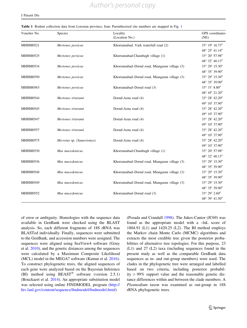| Voucher No.     | Species                   | Locality<br>(Location No.)                    | GPS coordinates<br>(NE) |
|-----------------|---------------------------|-----------------------------------------------|-------------------------|
| <b>MHHM0521</b> | Meriones persicus         | Khorramabad, Vark waterfall road (2)          | 33° 19' 16.73"          |
|                 |                           |                                               | 48° 25' 41.14"          |
| <b>MHHM0525</b> | Meriones persicus         | Khorramabad-Chambagh village (1)              | 33° 20' 57.98"          |
|                 |                           |                                               | 48° 32' 40.13"          |
| <b>MHHM0534</b> | Meriones persicus         | Khorramabad-Dorud road, Miangaran village (3) | 33° 29′ 15.30″          |
|                 |                           |                                               | 48° 35' 39.90"          |
| <b>MHHM0550</b> | Meriones persicus         | Khorramabad-Dorud road, Miangaran village (3) | 33° 29′ 15.30″          |
|                 |                           |                                               | 48° 35' 39.90"          |
| <b>MHHM0563</b> | Meriones persicus         | Khorramabad-Dorud road (3)                    | 33° 31' 8.80"           |
|                 |                           |                                               | 48° 45' 21.20"          |
| <b>MHHM0544</b> | Meriones tristrami        | Dorud-Azna road (4)                           | 33° 28' 42.20"          |
|                 |                           |                                               | 49° 10' 37.90"          |
| MHHM0545        | Meriones tristrami        | Dorud-Azna road (4)                           | 33° 28' 42.20"          |
|                 |                           |                                               | 49° 10' 37.90"          |
| <b>MHHM0547</b> | Meriones tristrami        | Dorud-Azna road (4)                           | 33° 28' 42.20"          |
|                 |                           |                                               | 49° 10' 37.90"          |
| <b>MHHM0557</b> | Meriones tristrami        | Dorud-Azna road (4)                           | 33° 28' 42.20"          |
|                 |                           |                                               | 49° 10' 37.90"          |
| <b>MHHM0575</b> | Microtus sp. (Sumeriomys) | Dorud-Azna road (4)                           | 33° 28' 42.20"          |
|                 |                           |                                               | 49° 10' 37.90"          |
| <b>MHHM0530</b> | Mus macedonicus           | Khorramabad-Chambagh village (1)              | 33° 20' 57.98"          |
|                 |                           |                                               | 48° 32' 40.13"          |
| <b>MHHM0536</b> | Mus macedonicus           | Khorramabad-Dorud road, Miangaran village (3) | 33° 29' 15.30"          |
|                 |                           |                                               | 48° 35' 39.90"          |
| <b>MHHM0548</b> | Mus macedonicus           | Khorramabad-Dorud road, Miangaran village (3) | 33° 29′ 15.30″          |
|                 |                           |                                               | 48° 35' 39.90"          |
| <b>MHHM0549</b> | Mus macedonicus           | Khorramabad-Dorud road, Miangaran village (3) | 33° 29′ 15.30″          |
|                 |                           |                                               | 48° 35' 39.90"          |
| <b>MHHM0552</b> | Mus macedonicus           | Khorramabad–Dorud road (3)                    | 33° 29′ 2.60″           |
|                 |                           |                                               | 48° 39' 41.50"          |

<span id="page-4-0"></span>Table 1 Rodent collection data from Lorestan province, Iran; Parenthesized site numbers are mapped in Fig. [1](#page-3-0)

of error or ambiguity. Homologies with the sequence data available in GenBank were checked using the BLAST analysis. So, each different fragments of 18S rRNA was BLASTed individually. Finally, sequences were submitted to the GenBank, and accession numbers were assigned. The sequences were aligned using SeaView4 software (Gouy et al. [2010](#page-7-0)), and the genetic distances among the sequences were calculated by a Maximum Composite Likelihood (MCL) model in the MEGA7 software (Kumar et al. [2016](#page-7-0)). To construct phylogenetic trees, the aligned sequences of each gene were analyzed based on the Bayesian Inference (BI) method using  $BEAST^{\circledR}$  software (version 2.5.1) (Bouckaert et al. [2014\)](#page-7-0). An appropriate substitution model was selected using online FINDMODEL program [\(http://](http://hiv.lanl.gov/content/sequence/findmodel/findmodel.html) [hiv.lanl.gov/content/sequence/findmodel/findmodel.html](http://hiv.lanl.gov/content/sequence/findmodel/findmodel.html))

(Posada and Crandall [1998\)](#page-7-0). The Jukes-Cantor (JC69) was found as the appropriate model with a –lnL score of 1804.91 (L1) and 1420.25 (L2). The BI method employs the Markov chain Monte Carlo (MCMC) algorithms and extracts the most credible tree given the posterior probabilities of alternative tree topologies. For this purpose, 23 (L1) and 27 (L2) taxa (including sequences found in the present study as well as the comparable GenBank data sequences as in- and out-group members) were used. The clades in the phylogenetic tree were arranged and labelled based on two criteria, including posterior probability  $> 99\%$  support value and the reasonable genetic distance differences within and between the clade members. A Plasmodium taxon was examined as out-group in 18S rRNA phylogenetic trees.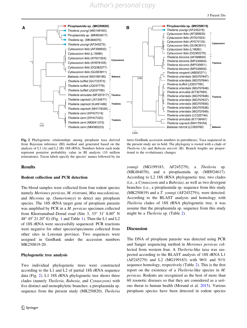

Fig. 2 Phylogenetic relationships among piroplasm taxa derived from Bayesian inference (BI) method and generated based on the analysis of L1 (A) and L2 (B) 18S rRNA; Numbers below each node represent posterior probability value in BI analysis (10 million reiterations). Taxon labels specify the species' names followed by (in

#### Results

#### Rodent collection and PCR detection

The blood samples were collected from four rodent species namely Meriones persicus, M. tristrami, Mus macedonicus, and Microtus sp. (Sumeriomys) to detect any piroplasm species. The 18S rRNA target gene of piroplasm parasite was amplified by PCR in a *M. persicus* specimen collected from Khorramabad–Dorud road (Site 3,  $33^{\circ}$  31' 8.80" N 48 $\degree$  45 $\degree$  2[1](#page-4-0).20 $\degree$  E) (Fig. 1 and Table 1). Then the L1 and L2 of 18S rRNA were successfully sequenced. PCR reactions were negative for other species/specimens collected from other sites in Lorestan province. Two sequences were assigned in GenBank under the accession numbers MK250819-20.

#### Phylogenetic tree analysis

Two individual phylogenetic trees were constructed according to the L1 and L2 of partial 18S rRNA sequence data (Fig. 2). L1 18S rRNA phylogenetic tree shows three clades (namely Theileria, Babesia, and Cytauxzoon) with five distinct and monophyletic branches: a piroplasmida sp. sequence from the present study (MK250820), Theileria

turn) GenBank accession numbers in parentheses; Taxa sequenced in the present study are in bold. The phylogeny is rooted with a clade of Theileria (A) and Babesia microti (B). Branch lengths are proportional to the evolutionary changes

youngi (MG199183, AF245279), a Theileria sp. (MK484070), and a piroplasmida sp. (MH924617). According to L2 18S rRNA phylogenetic tree, two clades (i.e., a Cytauxzoon and a Babesia), as well as two divergent branches (i.e., a piroplasmida sp. sequence from this study (MK250819) and a T. youngi (AF245279)), were detected. According to the BLAST analysis and homology with Theileria clades of 18S rRNA phylogenetic tree, it was assume that the piroplasmida sp. sequence from this study might be a Theileria sp. (Table [2\)](#page-6-0).

#### Discussion

The DNA of piroplasm parasite was detected using PCR and Sanger sequencing method in Meriones persicus collected from western Iran. A Theileria-like taxa was suspected according to the BLAST analysis of 18S rRNA L1 (AF245279) and L2 (MG199183) with 96% and 91% sequence homology, respectively (Table [2](#page-6-0)). This is the first report on the existence of a Theileria-like species in M. persicus. Rodents are recognized as the host of more than 60 zoonotic diseases so that they are considered as a serious threat to human health (Morand et al. [2015](#page-7-0)). Various piroplasm species have been detected in rodent species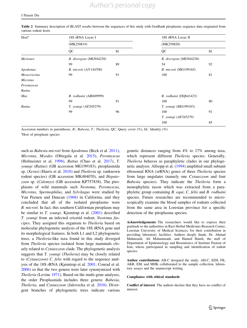| Host <sup>a</sup> | 18S rRNA Locus I<br>(MK250819) |     | 18S rRNA Locus II<br>(MK250820) |     |
|-------------------|--------------------------------|-----|---------------------------------|-----|
|                   |                                |     |                                 |     |
|                   | QC                             | Id. | QC                              | Id. |
| <b>Meriones</b>   | B. divergens (MG944238)        |     | B. divergens (MG944238)         |     |
|                   | 99                             | 89  | 54                              | 92  |
| Apodemus          | B. microti (AY144700)          |     | <i>B. microti</i> (MG199165)    |     |
| Mesocricetus      | 99                             | 91  | 100                             | 81  |
| <b>Microtus</b>   |                                |     |                                 |     |
| Peromyscus        |                                |     |                                 |     |
| Rattus            |                                |     |                                 |     |
| Mus               | B. rodhaini (AB049999)         |     | B. rodhaini (DQ641423)          |     |
|                   | 99                             | 91  | 100                             | 80  |
| Rattus            | <i>T. youngi</i> (AF245279)    |     | <i>T. youngi</i> (MG199183)     |     |
|                   | 99                             | 96  | 100                             | 91  |
|                   |                                |     | T. youngi (AF245279)            |     |
|                   |                                |     | 100                             | 85  |

<span id="page-6-0"></span>Table 2 Summary description of BLAST results between the sequences of this study with GenBank piroplasms sequence data originated from various rodent hosts

Accession numbers in parentheses, B.: Babesia, T.: Theileria, QC: Query cover (%), Id.: Identity (%)

<sup>a</sup>Host of piroplasm species

such as *Babesia microti* from *Apodemus* (Beck et al. [2011](#page-7-0)), Microtus, Myodes (Obiegala et al. [2015\)](#page-7-0), Peromyscus (Hofmeister et al. [1998\)](#page-7-0), Rattus (Chao et al. [2017](#page-7-0)), T. youngi (Rattus) (GB accession MG199183), piroplasmida sp. (Xerus) (Harris et al. [2018\)](#page-7-0) and Theileria sp. (unknown rodent species) (GB accession MK484070), and Hepatozoon sp. (Calomys) (GB accession KP757838). The piroplasms of wild mammals such Neotoma, Peromyscus, Microtus, Spermophilus, and Sylvilagus were studied by Van Peenen and Duncan [\(1968](#page-7-0)) in California, and they concluded that all of the isolated piroplasms were B. microti. In fact, this southern Californian piroplasm may be similar to *T. youngi*. Kjemtrup et al. ([2001\)](#page-7-0) described T. youngi from an infected cricetid rodent, Neotoma fuscipes. They assigned this organism to Theileria based on molecular phylogenetic analysis of the 18S rRNA gene and its morphological features. In both L1 and L2 phylogenetic trees, a Theileria-like taxa found in this study diverged from Theileria species isolated from large mammals closely related to *Cytauxzoon* clade. The phylogenetic analysis suggests that T. youngi (Theileria) may be closely related to (Cytauxzoon) C. felis with regard to the sequence analysis of the 18S rRNA (Kjemtrup et al. [2001;](#page-7-0) Conrad et al. [2006\)](#page-7-0) so that the two genera were later synonymized with Theileria (Levine [1971](#page-7-0)). Based on the multi-gene analyses, the order Piroplasmida includes three genera: Babesia, Theileria, and Cytauxzoon (Jalovecka et al. [2018\)](#page-7-0). Divergent branches of phylogenetic trees indicate various genetic distances ranging from 4% to 17% among taxa, which represent different Theileria species. Generally, Theileria behaves as paraphyletic clades in our phylogenetic analysis. Allsopp et al. ([1994\)](#page-7-0) amplified small subunit ribosomal RNA (srRNA) genes of three Theileria species from large ungulates (namely one Cytauxzoon and four Babesia species). They indicate the Theileria form a monophyletic taxon which was extracted from a paraphyletic group containing B. equi, C. felis and B. rodhaini species. Future researches are recommended to microscopically examine the blood samples of rodents collected from the same area in Lorestan province for a specific detection of the piroplasma species.

Acknowledgements The researchers would like to express their gratitude to the authorities in Razi Herbal Medicines Research Center, Lorestan University of Medical Sciences, for their contribution in providing laboratory facilities. Authors deeply thank, Dr. Ahmad Mahmoudi, Ali Mohammadi, and Hamed Hanifi, the staff of Department of Epidemiology and Biostatistics of Institute Pasteur of Iran, whose participated in sampling and identification of rodent species.

Author contributions AH-C designed the study. AH-C, SZH, FK, AKR, EM, and MHK collaborated to the sample collection, laboratory assays and the manuscript writing.

#### Compliance with ethical standards

Conflict of interest The authors declare that they have no conflict of interest.